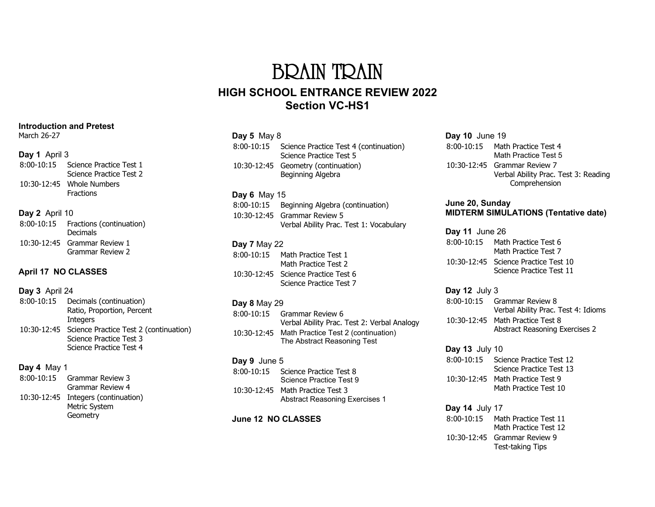# BRAIN TRAIN **HIGH SCHOOL ENTRANCE REVIEW 2022 Section VC-HS1**

## **Day 5** May 8

| 8:00-10:15 | Science Practice Test 4 (continuation)<br>Science Practice Test 5 |
|------------|-------------------------------------------------------------------|
|            | 10:30-12:45 Geometry (continuation)<br>Beginning Algebra          |

## **Day 6** May 15

| 8:00-10:15 Beginning Algebra (continuation) |
|---------------------------------------------|
| 10:30-12:45 Grammar Review 5                |
| Verbal Ability Prac. Test 1: Vocabulary     |

# **Day 7** May 22

| $8:00-10:15$ | Math Practice Test 1<br>Math Practice Test 2                   |
|--------------|----------------------------------------------------------------|
|              | 10:30-12:45 Science Practice Test 6<br>Science Practice Test 7 |

#### **Day 8** May 29

| $8:00-10:15$ | Grammar Review 6<br>Verbal Ability Prac. Test 2: Verbal Analogy    |
|--------------|--------------------------------------------------------------------|
| 10:30-12:45  | Math Practice Test 2 (continuation)<br>The Abstract Reasoning Test |

## **Day 9** June 5

| $8:00-10:15$ | Science Practice Test 8<br>Science Practice Test 9                        |
|--------------|---------------------------------------------------------------------------|
|              | 10:30-12:45 Math Practice Test 3<br><b>Abstract Reasoning Exercises 1</b> |

#### **June 12 NO CLASSES**

#### **Day 10** June 19 8:00-10:15 Math Practice Test 4 Math Practice Test 5 10:30-12:45 Grammar Review 7 Verbal Ability Prac. Test 3: Reading Comprehension

#### **June 20, Sunday MIDTERM SIMULATIONS (Tentative date)**

**Day 11** June 26 8:00-10:15 Math Practice Test 6 Math Practice Test 7 10:30-12:45 Science Practice Test 10 Science Practice Test 11

#### **Day 12** July 3 8:00-10:15 Grammar Review 8 Verbal Ability Prac. Test 4: Idioms 10:30-12:45 Math Practice Test 8 Abstract Reasoning Exercises 2

**Day 13** July 10 8:00-10:15 Science Practice Test 12 Science Practice Test 13 10:30-12:45 Math Practice Test 9 Math Practice Test 10

### **Day 14** July 17 8:00-10:15 Math Practice Test 11 Math Practice Test 12 10:30-12:45 Grammar Review 9 Test-taking Tips

#### **Introduction and Pretest**

March 26-27

#### **Day 1** April 3

| 8:00-10:15 | Science Practice Test 1   |
|------------|---------------------------|
|            | Science Practice Test 2   |
|            | 10:30-12:45 Whole Numbers |
|            | Fractions                 |

## **Day 2** April 10

| 8:00-10:15 | Fractions (continuation)<br><b>Decimals</b>      |
|------------|--------------------------------------------------|
|            | 10:30-12:45 Grammar Review 1<br>Grammar Review 2 |

# **April 17 NO CLASSES**

# **Day 3** April 24

| 8:00-10:15 | Decimals (continuation)                            |
|------------|----------------------------------------------------|
|            | Ratio, Proportion, Percent                         |
|            | <b>Integers</b>                                    |
|            | 10:30-12:45 Science Practice Test 2 (continuation) |
|            | Science Practice Test 3                            |
|            | Science Practice Test 4                            |

# **Day 4** May 1

| 8:00-10:15 | Grammar Review 3<br><b>Grammar Review 4</b>                      |
|------------|------------------------------------------------------------------|
|            | 10:30-12:45 Integers (continuation)<br>Metric System<br>Geometry |